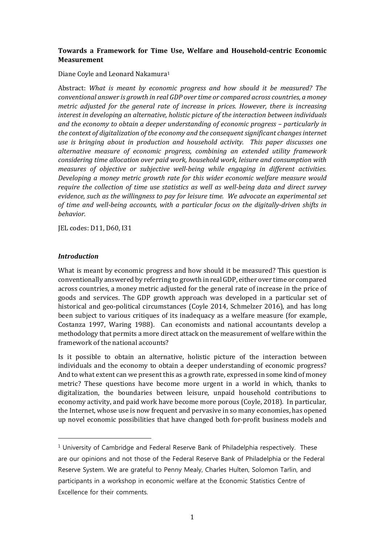# **Towards a Framework for Time Use, Welfare and Household-centric Economic Measurement**

#### Diane Coyle and Leonard Nakamura[1](#page-0-0)

Abstract: *What is meant by economic progress and how should it be measured? The conventional answer is growth in real GDP over time or compared across countries, a money metric adjusted for the general rate of increase in prices. However, there is increasing interest in developing an alternative, holistic picture of the interaction between individuals and the economy to obtain a deeper understanding of economic progress – particularly in the context of digitalization of the economy and the consequent significant changes internet use is bringing about in production and household activity. This paper discusses one alternative measure of economic progress, combining an extended utility framework considering time allocation over paid work, household work, leisure and consumption with measures of objective or subjective well-being while engaging in different activities. Developing a money metric growth rate for this wider economic welfare measure would require the collection of time use statistics as well as well-being data and direct survey evidence, such as the willingness to pay for leisure time. We advocate an experimental set of time and well-being accounts, with a particular focus on the digitally-driven shifts in behavior.*

JEL codes: D11, D60, I31

### *Introduction*

j

What is meant by economic progress and how should it be measured? This question is conventionally answered by referring to growth in real GDP, either over time or compared across countries, a money metric adjusted for the general rate of increase in the price of goods and services. The GDP growth approach was developed in a particular set of historical and geo-political circumstances (Coyle 2014, Schmelzer 2016), and has long been subject to various critiques of its inadequacy as a welfare measure (for example, Costanza 1997, Waring 1988). Can economists and national accountants develop a methodology that permits a more direct attack on the measurement of welfare within the framework of the national accounts?

Is it possible to obtain an alternative, holistic picture of the interaction between individuals and the economy to obtain a deeper understanding of economic progress? And to what extent can we present this as a growth rate, expressed in some kind of money metric? These questions have become more urgent in a world in which, thanks to digitalization, the boundaries between leisure, unpaid household contributions to economy activity, and paid work have become more porous (Coyle, 2018). In particular, the Internet, whose use is now frequent and pervasive in so many economies, has opened up novel economic possibilities that have changed both for-profit business models and

<span id="page-0-0"></span> $<sup>1</sup>$  University of Cambridge and Federal Reserve Bank of Philadelphia respectively. These</sup> are our opinions and not those of the Federal Reserve Bank of Philadelphia or the Federal Reserve System. We are grateful to Penny Mealy, Charles Hulten, Solomon Tarlin, and participants in a workshop in economic welfare at the Economic Statistics Centre of Excellence for their comments.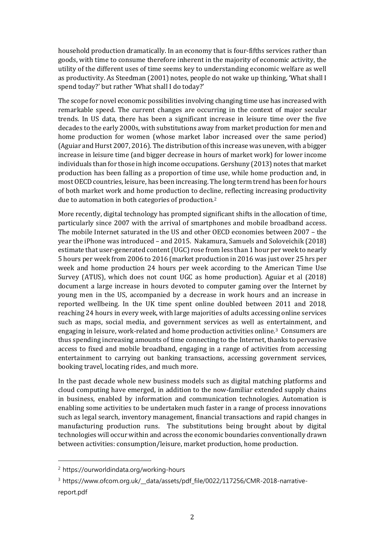household production dramatically. In an economy that is four-fifths services rather than goods, with time to consume therefore inherent in the majority of economic activity, the utility of the different uses of time seems key to understanding economic welfare as well as productivity. As Steedman (2001) notes, people do not wake up thinking, 'What shall I spend today?' but rather 'What shall I do today?'

The scope for novel economic possibilities involving changing time use has increased with remarkable speed. The current changes are occurring in the context of major secular trends. In US data, there has been a significant increase in leisure time over the five decades to the early 2000s, with substitutions away from market production for men and home production for women (whose market labor increased over the same period) (Aguiar and Hurst 2007, 2016). The distribution of this increase was uneven, with a bigger increase in leisure time (and bigger decrease in hours of market work) for lower income individuals than for those in high income occupations. Gershuny (2013) notes that market production has been falling as a proportion of time use, while home production and, in most OECD countries, leisure, has been increasing. The long term trend has been for hours of both market work and home production to decline, reflecting increasing productivity due to automation in both categories of production.[2](#page-1-0)

More recently, digital technology has prompted significant shifts in the allocation of time, particularly since 2007 with the arrival of smartphones and mobile broadband access. The mobile Internet saturated in the US and other OECD economies between 2007 – the year the iPhone was introduced – and 2015. Nakamura, Samuels and Soloveichik (2018) estimate that user-generated content (UGC) rose from less than 1 hour per week to nearly 5 hours per week from 2006 to 2016 (market production in 2016 was just over 25 hrs per week and home production 24 hours per week according to the American Time Use Survey (ATUS), which does not count UGC as home production). Aguiar et al (2018) document a large increase in hours devoted to computer gaming over the Internet by young men in the US, accompanied by a decrease in work hours and an increase in reported wellbeing. In the UK time spent online doubled between 2011 and 2018, reaching 24 hours in every week, with large majorities of adults accessing online services such as maps, social media, and government services as well as entertainment, and engaging in leisure, work-related and home production activities online[.3](#page-1-1) Consumers are thus spending increasing amounts of time connecting to the Internet, thanks to pervasive access to fixed and mobile broadband, engaging in a range of activities from accessing entertainment to carrying out banking transactions, accessing government services, booking travel, locating rides, and much more.

In the past decade whole new business models such as digital matching platforms and cloud computing have emerged, in addition to the now-familiar extended supply chains in business, enabled by information and communication technologies. Automation is enabling some activities to be undertaken much faster in a range of process innovations such as legal search, inventory management, financial transactions and rapid changes in manufacturing production runs. The substitutions being brought about by digital technologies will occur within and across the economic boundaries conventionally drawn between activities: consumption/leisure, market production, home production.

<span id="page-1-0"></span><sup>2</sup> https://ourworldindata.org/working-hours

<span id="page-1-1"></span><sup>&</sup>lt;sup>3</sup> https://www.ofcom.org.uk/\_data/assets/pdf\_file/0022/117256/CMR-2018-narrativereport.pdf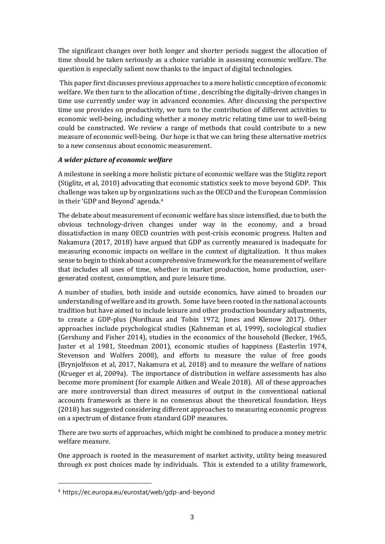The significant changes over both longer and shorter periods suggest the allocation of time should be taken seriously as a choice variable in assessing economic welfare. The question is especially salient now thanks to the impact of digital technologies.

This paper first discusses previous approaches to a more holistic conception of economic welfare. We then turn to the allocation of time , describing the digitally-driven changes in time use currently under way in advanced economies. After discussing the perspective time use provides on productivity, we turn to the contribution of different activities to economic well-being, including whether a money metric relating time use to well-being could be constructed. We review a range of methods that could contribute to a new measure of economic well-being. Our hope is that we can bring these alternative metrics to a new consensus about economic measurement.

### *A wider picture of economic welfare*

A milestone in seeking a more holistic picture of economic welfare was the Stiglitz report (Stiglitz, et al, 2010) advocating that economic statistics seek to move beyond GDP. This challenge was taken up by organizations such as the OECD and the European Commission in their 'GDP and Beyond' agenda.[4](#page-2-0) 

The debate about measurement of economic welfare has since intensified, due to both the obvious technology-driven changes under way in the economy, and a broad dissatisfaction in many OECD countries with post-crisis economic progress. Hulten and Nakamura (2017, 2018) have argued that GDP as currently measured is inadequate for measuring economic impacts on welfare in the context of digitalization. It thus makes sense to begin to think about a comprehensive framework for the measurement of welfare that includes all uses of time, whether in market production, home production, usergenerated content, consumption, and pure leisure time.

A number of studies, both inside and outside economics, have aimed to broaden our understanding of welfare and its growth. Some have been rooted in the national accounts tradition but have aimed to include leisure and other production boundary adjustments, to create a GDP-plus (Nordhaus and Tobin 1972, Jones and Klenow 2017). Other approaches include psychological studies (Kahneman et al, 1999), sociological studies (Gershuny and Fisher 2014), studies in the economics of the household (Becker, 1965, Juster et al 1981, Steedman 2001), economic studies of happiness (Easterlin 1974, Stevenson and Wolfers 2008), and efforts to measure the value of free goods (Brynjolfsson et al, 2017, Nakamura et al, 2018) and to measure the welfare of nations (Krueger et al, 2009a). The importance of distribution in welfare assessments has also become more prominent (for example Aitken and Weale 2018). All of these approaches are more controversial than direct measures of output in the conventional national accounts framework as there is no consensus about the theoretical foundation. Heys (2018) has suggested considering different approaches to measuring economic progress on a spectrum of distance from standard GDP measures.

There are two sorts of approaches, which might be combined to produce a money metric welfare measure.

One approach is rooted in the measurement of market activity, utility being measured through ex post choices made by individuals. This is extended to a utility framework,

<span id="page-2-0"></span><sup>4</sup> https://ec.europa.eu/eurostat/web/gdp-and-beyond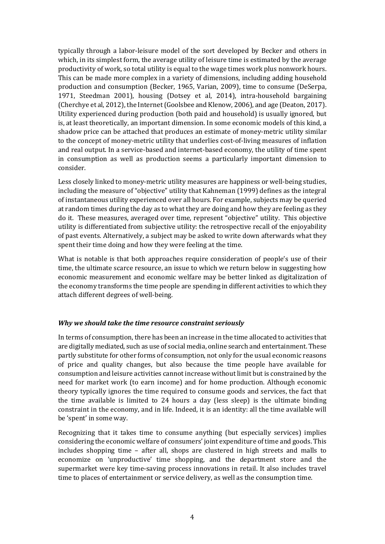typically through a labor-leisure model of the sort developed by Becker and others in which, in its simplest form, the average utility of leisure time is estimated by the average productivity of work, so total utility is equal to the wage times work plus nonwork hours. This can be made more complex in a variety of dimensions, including adding household production and consumption (Becker, 1965, Varian, 2009), time to consume (DeSerpa, 1971, Steedman 2001), housing (Dotsey et al, 2014), intra-household bargaining (Cherchye et al, 2012), the Internet (Goolsbee and Klenow, 2006), and age (Deaton, 2017). Utility experienced during production (both paid and household) is usually ignored, but is, at least theoretically, an important dimension. In some economic models of this kind, a shadow price can be attached that produces an estimate of money-metric utility similar to the concept of money-metric utility that underlies cost-of-living measures of inflation and real output. In a service-based and internet-based economy, the utility of time spent in consumption as well as production seems a particularly important dimension to consider.

Less closely linked to money-metric utility measures are happiness or well-being studies, including the measure of "objective" utility that Kahneman (1999) defines as the integral of instantaneous utility experienced over all hours. For example, subjects may be queried at random times during the day as to what they are doing and how they are feeling as they do it. These measures, averaged over time, represent "objective" utility. This objective utility is differentiated from subjective utility: the retrospective recall of the enjoyability of past events. Alternatively, a subject may be asked to write down afterwards what they spent their time doing and how they were feeling at the time.

What is notable is that both approaches require consideration of people's use of their time, the ultimate scarce resource, an issue to which we return below in suggesting how economic measurement and economic welfare may be better linked as digitalization of the economy transforms the time people are spending in different activities to which they attach different degrees of well-being.

### *Why we should take the time resource constraint seriously*

In terms of consumption, there has been an increase in the time allocated to activities that are digitally mediated, such as use of social media, online search and entertainment. These partly substitute for other forms of consumption, not only for the usual economic reasons of price and quality changes, but also because the time people have available for consumption and leisure activities cannot increase without limit but is constrained by the need for market work (to earn income) and for home production. Although economic theory typically ignores the time required to consume goods and services, the fact that the time available is limited to 24 hours a day (less sleep) is the ultimate binding constraint in the economy, and in life. Indeed, it is an identity: all the time available will be 'spent' in some way.

Recognizing that it takes time to consume anything (but especially services) implies considering the economic welfare of consumers' joint expenditure of time and goods. This includes shopping time – after all, shops are clustered in high streets and malls to economize on 'unproductive' time shopping, and the department store and the supermarket were key time-saving process innovations in retail. It also includes travel time to places of entertainment or service delivery, as well as the consumption time.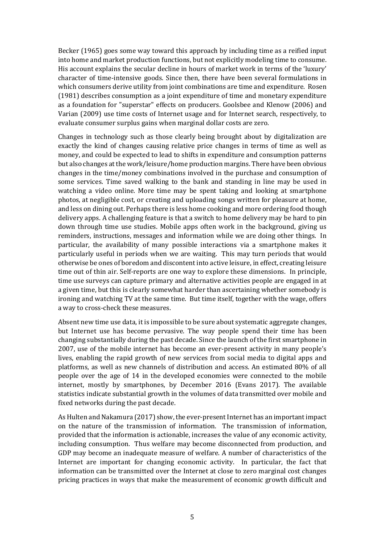Becker (1965) goes some way toward this approach by including time as a reified input into home and market production functions, but not explicitly modeling time to consume. His account explains the secular decline in hours of market work in terms of the 'luxury' character of time-intensive goods. Since then, there have been several formulations in which consumers derive utility from joint combinations are time and expenditure. Rosen (1981) describes consumption as a joint expenditure of time and monetary expenditure as a foundation for "superstar" effects on producers. Goolsbee and Klenow (2006) and Varian (2009) use time costs of Internet usage and for Internet search, respectively, to evaluate consumer surplus gains when marginal dollar costs are zero.

Changes in technology such as those clearly being brought about by digitalization are exactly the kind of changes causing relative price changes in terms of time as well as money, and could be expected to lead to shifts in expenditure and consumption patterns but also changes at the work/leisure/home production margins. There have been obvious changes in the time/money combinations involved in the purchase and consumption of some services. Time saved walking to the bank and standing in line may be used in watching a video online. More time may be spent taking and looking at smartphone photos, at negligible cost, or creating and uploading songs written for pleasure at home, and less on dining out. Perhaps there is less home cooking and more ordering food though delivery apps. A challenging feature is that a switch to home delivery may be hard to pin down through time use studies. Mobile apps often work in the background, giving us reminders, instructions, messages and information while we are doing other things. In particular, the availability of many possible interactions via a smartphone makes it particularly useful in periods when we are waiting. This may turn periods that would otherwise be ones of boredom and discontent into active leisure, in effect, creating leisure time out of thin air. Self-reports are one way to explore these dimensions. In principle, time use surveys can capture primary and alternative activities people are engaged in at a given time, but this is clearly somewhat harder than ascertaining whether somebody is ironing and watching TV at the same time. But time itself, together with the wage, offers a way to cross-check these measures.

Absent new time use data, it is impossible to be sure about systematic aggregate changes, but Internet use has become pervasive. The way people spend their time has been changing substantially during the past decade. Since the launch of the first smartphone in 2007, use of the mobile internet has become an ever-present activity in many people's lives, enabling the rapid growth of new services from social media to digital apps and platforms, as well as new channels of distribution and access. An estimated 80% of all people over the age of 14 in the developed economies were connected to the mobile internet, mostly by smartphones, by December 2016 (Evans 2017). The available statistics indicate substantial growth in the volumes of data transmitted over mobile and fixed networks during the past decade.

As Hulten and Nakamura (2017) show, the ever-present Internet has an important impact on the nature of the transmission of information. The transmission of information, provided that the information is actionable, increases the value of any economic activity, including consumption. Thus welfare may become disconnected from production, and GDP may become an inadequate measure of welfare. A number of characteristics of the Internet are important for changing economic activity. In particular, the fact that information can be transmitted over the Internet at close to zero marginal cost changes pricing practices in ways that make the measurement of economic growth difficult and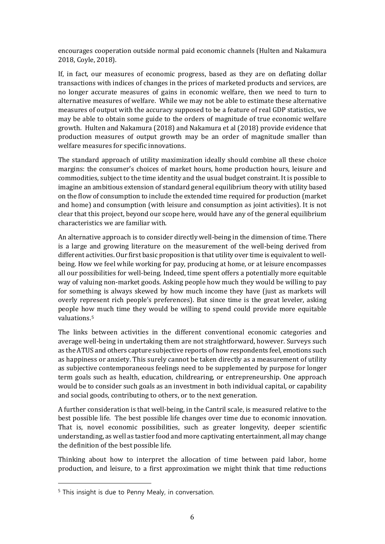encourages cooperation outside normal paid economic channels (Hulten and Nakamura 2018, Coyle, 2018).

If, in fact, our measures of economic progress, based as they are on deflating dollar transactions with indices of changes in the prices of marketed products and services, are no longer accurate measures of gains in economic welfare, then we need to turn to alternative measures of welfare. While we may not be able to estimate these alternative measures of output with the accuracy supposed to be a feature of real GDP statistics, we may be able to obtain some guide to the orders of magnitude of true economic welfare growth. Hulten and Nakamura (2018) and Nakamura et al (2018) provide evidence that production measures of output growth may be an order of magnitude smaller than welfare measures for specific innovations.

The standard approach of utility maximization ideally should combine all these choice margins: the consumer's choices of market hours, home production hours, leisure and commodities, subject to the time identity and the usual budget constraint. It is possible to imagine an ambitious extension of standard general equilibrium theory with utility based on the flow of consumption to include the extended time required for production (market and home) and consumption (with leisure and consumption as joint activities). It is not clear that this project, beyond our scope here, would have any of the general equilibrium characteristics we are familiar with.

An alternative approach is to consider directly well-being in the dimension of time. There is a large and growing literature on the measurement of the well-being derived from different activities. Our first basic proposition is that utility over time is equivalent to wellbeing. How we feel while working for pay, producing at home, or at leisure encompasses all our possibilities for well-being. Indeed, time spent offers a potentially more equitable way of valuing non-market goods. Asking people how much they would be willing to pay for something is always skewed by how much income they have (just as markets will overly represent rich people's preferences). But since time is the great leveler, asking people how much time they would be willing to spend could provide more equitable valuations[.5](#page-5-0)

The links between activities in the different conventional economic categories and average well-being in undertaking them are not straightforward, however. Surveys such as the ATUS and others capture subjective reports of how respondents feel, emotions such as happiness or anxiety. This surely cannot be taken directly as a measurement of utility as subjective contemporaneous feelings need to be supplemented by purpose for longer term goals such as health, education, childrearing, or entrepreneurship. One approach would be to consider such goals as an investment in both individual capital, or capability and social goods, contributing to others, or to the next generation.

A further consideration is that well-being, in the Cantril scale, is measured relative to the best possible life. The best possible life changes over time due to economic innovation. That is, novel economic possibilities, such as greater longevity, deeper scientific understanding, as well as tastier food and more captivating entertainment, all may change the definition of the best possible life.

Thinking about how to interpret the allocation of time between paid labor, home production, and leisure, to a first approximation we might think that time reductions

<span id="page-5-0"></span><sup>&</sup>lt;sup>5</sup> This insight is due to Penny Mealy, in conversation.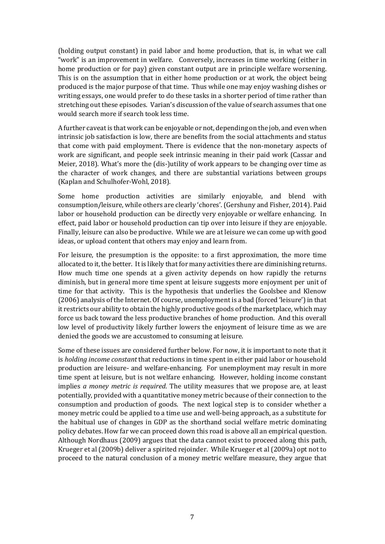(holding output constant) in paid labor and home production, that is, in what we call "work" is an improvement in welfare. Conversely, increases in time working (either in home production or for pay) given constant output are in principle welfare worsening. This is on the assumption that in either home production or at work, the object being produced is the major purpose of that time. Thus while one may enjoy washing dishes or writing essays, one would prefer to do these tasks in a shorter period of time rather than stretching out these episodes. Varian's discussion of the value of search assumes that one would search more if search took less time.

A further caveat is that work can be enjoyable or not, depending on the job, and even when intrinsic job satisfaction is low, there are benefits from the social attachments and status that come with paid employment. There is evidence that the non-monetary aspects of work are significant, and people seek intrinsic meaning in their paid work (Cassar and Meier, 2018). What's more the (dis-)utility of work appears to be changing over time as the character of work changes, and there are substantial variations between groups (Kaplan and Schulhofer-Wohl, 2018).

Some home production activities are similarly enjoyable, and blend with consumption/leisure, while others are clearly 'chores'. (Gershuny and Fisher, 2014). Paid labor or household production can be directly very enjoyable or welfare enhancing. In effect, paid labor or household production can tip over into leisure if they are enjoyable. Finally, leisure can also be productive. While we are at leisure we can come up with good ideas, or upload content that others may enjoy and learn from.

For leisure, the presumption is the opposite: to a first approximation, the more time allocated to it, the better. It is likely that for many activities there are diminishing returns. How much time one spends at a given activity depends on how rapidly the returns diminish, but in general more time spent at leisure suggests more enjoyment per unit of time for that activity. This is the hypothesis that underlies the Goolsbee and Klenow (2006) analysis of the Internet. Of course, unemployment is a bad (forced 'leisure') in that it restricts our ability to obtain the highly productive goods of the marketplace, which may force us back toward the less productive branches of home production. And this overall low level of productivity likely further lowers the enjoyment of leisure time as we are denied the goods we are accustomed to consuming at leisure.

Some of these issues are considered further below. For now, it is important to note that it is *holding income constant* that reductions in time spent in either paid labor or household production are leisure- and welfare-enhancing. For unemployment may result in more time spent at leisure, but is not welfare enhancing. However, holding income constant implies *a money metric is required*. The utility measures that we propose are, at least potentially, provided with a quantitative money metric because of their connection to the consumption and production of goods. The next logical step is to consider whether a money metric could be applied to a time use and well-being approach, as a substitute for the habitual use of changes in GDP as the shorthand social welfare metric dominating policy debates. How far we can proceed down this road is above all an empirical question. Although Nordhaus (2009) argues that the data cannot exist to proceed along this path, Krueger et al (2009b) deliver a spirited rejoinder. While Krueger et al (2009a) opt not to proceed to the natural conclusion of a money metric welfare measure, they argue that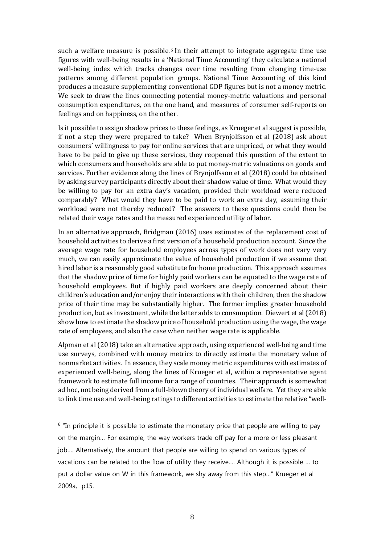such a welfare measure is possible.<sup>6</sup> In their attempt to integrate aggregate time use figures with well-being results in a '[N](#page-7-0)ational Time Accounting' they calculate a national well-being index which tracks changes over time resulting from changing time-use patterns among different population groups. National Time Accounting of this kind produces a measure supplementing conventional GDP figures but is not a money metric. We seek to draw the lines connecting potential money-metric valuations and personal consumption expenditures, on the one hand, and measures of consumer self-reports on feelings and on happiness, on the other.

Is it possible to assign shadow prices to these feelings, as Krueger et al suggest is possible, if not a step they were prepared to take? When Brynjolfsson et al (2018) ask about consumers' willingness to pay for online services that are unpriced, or what they would have to be paid to give up these services, they reopened this question of the extent to which consumers and households are able to put money-metric valuations on goods and services. Further evidence along the lines of Brynjolfsson et al (2018) could be obtained by asking survey participants directly about their shadow value of time. What would they be willing to pay for an extra day's vacation, provided their workload were reduced comparably? What would they have to be paid to work an extra day, assuming their workload were not thereby reduced? The answers to these questions could then be related their wage rates and the measured experienced utility of labor.

In an alternative approach, Bridgman (2016) uses estimates of the replacement cost of household activities to derive a first version of a household production account. Since the average wage rate for household employees across types of work does not vary very much, we can easily approximate the value of household production if we assume that hired labor is a reasonably good substitute for home production. This approach assumes that the shadow price of time for highly paid workers can be equated to the wage rate of household employees. But if highly paid workers are deeply concerned about their children's education and/or enjoy their interactions with their children, then the shadow price of their time may be substantially higher. The former implies greater household production, but as investment, while the latter adds to consumption. Diewert et al (2018) show how to estimate the shadow price of household production using the wage, the wage rate of employees, and also the case when neither wage rate is applicable.

Alpman et al (2018) take an alternative approach, using experienced well-being and time use surveys, combined with money metrics to directly estimate the monetary value of nonmarket activities. In essence, they scale money metric expenditures with estimates of experienced well-being, along the lines of Krueger et al, within a representative agent framework to estimate full income for a range of countries. Their approach is somewhat ad hoc, not being derived from a full-blown theory of individual welfare. Yet they are able to link time use and well-being ratings to different activities to estimate the relative "well-

<span id="page-7-0"></span> $6$  "In principle it is possible to estimate the monetary price that people are willing to pay on the margin… For example, the way workers trade off pay for a more or less pleasant job…. Alternatively, the amount that people are willing to spend on various types of vacations can be related to the flow of utility they receive…. Although it is possible … to put a dollar value on W in this framework, we shy away from this step…" Krueger et al 2009a, p15.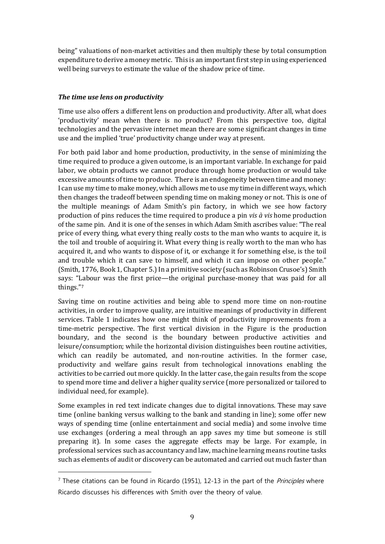being" valuations of non-market activities and then multiply these by total consumption expenditure to derive a money metric. This is an important first step in using experienced well being surveys to estimate the value of the shadow price of time.

# *The time use lens on productivity*

j

Time use also offers a different lens on production and productivity. After all, what does 'productivity' mean when there is no product? From this perspective too, digital technologies and the pervasive internet mean there are some significant changes in time use and the implied 'true' productivity change under way at present.

For both paid labor and home production, productivity, in the sense of minimizing the time required to produce a given outcome, is an important variable. In exchange for paid labor, we obtain products we cannot produce through home production or would take excessive amounts of time to produce. There is an endogeneity between time and money: I can use my time to make money, which allows me to use my time in different ways, which then changes the tradeoff between spending time on making money or not. This is one of the multiple meanings of Adam Smith's pin factory, in which we see how factory production of pins reduces the time required to produce a pin *vis à vis* home production of the same pin. And it is one of the senses in which Adam Smith ascribes value: "The real price of every thing, what every thing really costs to the man who wants to acquire it, is the toil and trouble of acquiring it. What every thing is really worth to the man who has acquired it, and who wants to dispose of it, or exchange it for something else, is the toil and trouble which it can save to himself, and which it can impose on other people." (Smith, 1776, Book 1, Chapter 5.) In a primitive society (such as Robinson Crusoe's) Smith says: "[La](#page-8-0)bour was the first price—the original purchase-money that was paid for all things."7

Saving time on routine activities and being able to spend more time on non-routine activities, in order to improve quality, are intuitive meanings of productivity in different services. Table 1 indicates how one might think of productivity improvements from a time-metric perspective. The first vertical division in the Figure is the production boundary, and the second is the boundary between productive activities and leisure/consumption; while the horizontal division distinguishes been routine activities, which can readily be automated, and non-routine activities. In the former case, productivity and welfare gains result from technological innovations enabling the activities to be carried out more quickly. In the latter case, the gain results from the scope to spend more time and deliver a higher quality service (more personalized or tailored to individual need, for example).

Some examples in red text indicate changes due to digital innovations. These may save time (online banking versus walking to the bank and standing in line); some offer new ways of spending time (online entertainment and social media) and some involve time use exchanges (ordering a meal through an app saves my time but someone is still preparing it). In some cases the aggregate effects may be large. For example, in professional services such as accountancy and law, machine learning means routine tasks such as elements of audit or discovery can be automated and carried out much faster than

<span id="page-8-0"></span> $7$  These citations can be found in Ricardo (1951), 12-13 in the part of the *Principles* where Ricardo discusses his differences with Smith over the theory of value.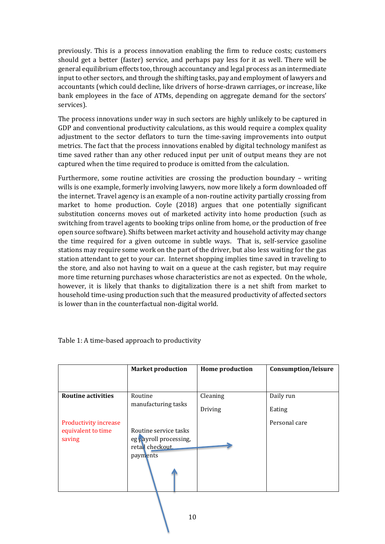previously. This is a process innovation enabling the firm to reduce costs; customers should get a better (faster) service, and perhaps pay less for it as well. There will be general equilibrium effects too, through accountancy and legal process as an intermediate input to other sectors, and through the shifting tasks, pay and employment of lawyers and accountants (which could decline, like drivers of horse-drawn carriages, or increase, like bank employees in the face of ATMs, depending on aggregate demand for the sectors' services).

The process innovations under way in such sectors are highly unlikely to be captured in GDP and conventional productivity calculations, as this would require a complex quality adjustment to the sector deflators to turn the time-saving improvements into output metrics. The fact that the process innovations enabled by digital technology manifest as time saved rather than any other reduced input per unit of output means they are not captured when the time required to produce is omitted from the calculation.

Furthermore, some routine activities are crossing the production boundary – writing wills is one example, formerly involving lawyers, now more likely a form downloaded off the internet. Travel agency is an example of a non-routine activity partially crossing from market to home production. Coyle (2018) argues that one potentially significant substitution concerns moves out of marketed activity into home production (such as switching from travel agents to booking trips online from home, or the production of free open source software). Shifts between market activity and household activity may change the time required for a given outcome in subtle ways. That is, self-service gasoline stations may require some work on the part of the driver, but also less waiting for the gas station attendant to get to your car. Internet shopping implies time saved in traveling to the store, and also not having to wait on a queue at the cash register, but may require more time returning purchases whose characteristics are not as expected. On the whole, however, it is likely that thanks to digitalization there is a net shift from market to household time-using production such that the measured productivity of affected sectors is lower than in the counterfactual non-digital world.

|                              | <b>Market production</b>                                                        | <b>Home production</b> | Consumption/leisure |
|------------------------------|---------------------------------------------------------------------------------|------------------------|---------------------|
|                              |                                                                                 |                        |                     |
| <b>Routine activities</b>    | Routine<br>manufacturing tasks                                                  | Cleaning               | Daily run           |
|                              |                                                                                 | Driving                | Eating              |
| <b>Productivity increase</b> |                                                                                 |                        | Personal care       |
| equivalent to time<br>saving | Routine service tasks<br>eg payroll processing,<br>retall checkout.<br>payments |                        |                     |

Table 1: A time-based approach to productivity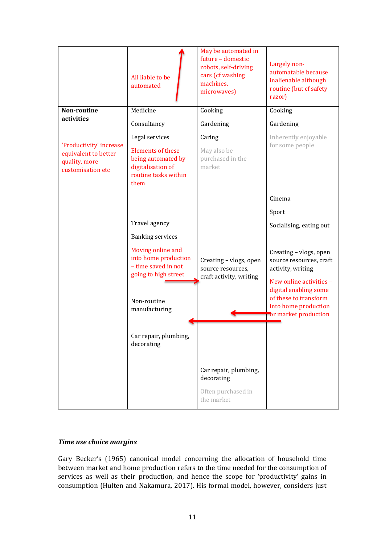|                                                                                       | All liable to be<br>automated                                                                       | May be automated in<br>future - domestic<br>robots, self-driving<br>cars (cf washing<br>machines,<br>microwaves) | Largely non-<br>automatable because<br>inalienable although<br>routine (but cf safety<br>razor)                                                     |
|---------------------------------------------------------------------------------------|-----------------------------------------------------------------------------------------------------|------------------------------------------------------------------------------------------------------------------|-----------------------------------------------------------------------------------------------------------------------------------------------------|
| Non-routine<br>activities                                                             | Medicine                                                                                            | Cooking                                                                                                          | Cooking                                                                                                                                             |
|                                                                                       | Consultancy                                                                                         | Gardening                                                                                                        | Gardening                                                                                                                                           |
|                                                                                       | Legal services                                                                                      | Caring                                                                                                           | Inherently enjoyable                                                                                                                                |
| 'Productivity' increase<br>equivalent to better<br>quality, more<br>customisation etc | <b>Elements of these</b><br>being automated by<br>digitalisation of<br>routine tasks within<br>them | May also be<br>purchased in the<br>market                                                                        | for some people                                                                                                                                     |
|                                                                                       |                                                                                                     |                                                                                                                  | Cinema                                                                                                                                              |
|                                                                                       |                                                                                                     |                                                                                                                  | Sport                                                                                                                                               |
|                                                                                       | Travel agency                                                                                       |                                                                                                                  | Socialising, eating out                                                                                                                             |
|                                                                                       | <b>Banking services</b>                                                                             |                                                                                                                  |                                                                                                                                                     |
|                                                                                       | Moving online and<br>into home production<br>- time saved in not<br>going to high street            | Creating - vlogs, open<br>source resources,<br>craft activity, writing                                           | Creating - vlogs, open<br>source resources, craft<br>activity, writing<br>New online activities -<br>digital enabling some<br>of these to transform |
|                                                                                       | Non-routine<br>manufacturing                                                                        |                                                                                                                  | into home production                                                                                                                                |
|                                                                                       |                                                                                                     |                                                                                                                  | or market production                                                                                                                                |
|                                                                                       | Car repair, plumbing,<br>decorating                                                                 |                                                                                                                  |                                                                                                                                                     |
|                                                                                       |                                                                                                     | Car repair, plumbing,<br>decorating                                                                              |                                                                                                                                                     |
|                                                                                       |                                                                                                     | Often purchased in<br>the market                                                                                 |                                                                                                                                                     |

# *Time use choice margins*

Gary Becker's (1965) canonical model concerning the allocation of household time between market and home production refers to the time needed for the consumption of services as well as their production, and hence the scope for 'productivity' gains in consumption (Hulten and Nakamura, 2017). His formal model, however, considers just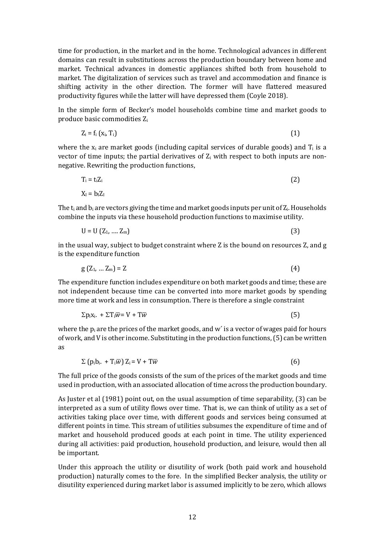time for production, in the market and in the home. Technological advances in different domains can result in substitutions across the production boundary between home and market. Technical advances in domestic appliances shifted both from household to market. The digitalization of services such as travel and accommodation and finance is shifting activity in the other direction. The former will have flattered measured productivity figures while the latter will have depressed them (Coyle 2018).

In the simple form of Becker's model households combine time and market goods to produce basic commodities Zi

$$
Z_i = f_i\left(x_i, T_i\right) \tag{1}
$$

where the  $x_i$  are market goods (including capital services of durable goods) and  $T_i$  is a vector of time inputs; the partial derivatives of  $Z_i$  with respect to both inputs are nonnegative. Rewriting the production functions,

$$
T_i = t_i Z_i
$$
  
\n
$$
X_i = b_i Z_i
$$
\n(2)

The  $t_i$  and  $b_i$  are vectors giving the time and market goods inputs per unit of  $Z_i$ . Households combine the inputs via these household production functions to maximise utility.

$$
U = U (Z_1, ..., Z_m)
$$
 (3)

in the usual way, subject to budget constraint where Z is the bound on resources Z, and g is the expenditure function

$$
g(Z_1, \ldots Z_m) = Z \tag{4}
$$

The expenditure function includes expenditure on both market goods and time; these are not independent because time can be converted into more market goods by spending more time at work and less in consumption. There is therefore a single constraint

$$
\Sigma p_i x_i. + \Sigma T_i \overline{w} = V + T \overline{w}
$$
 (5)

where the  $p_i$  are the prices of the market goods, and w' is a vector of wages paid for hours of work, and V is other income. Substituting in the production functions, (5) can be written as

$$
\Sigma\left(p_i b_i. + T_i \overline{w}\right) Z_i = V + T \overline{w}
$$
\n(6)

The full price of the goods consists of the sum of the prices of the market goods and time used in production, with an associated allocation of time across the production boundary.

As Juster et al (1981) point out, on the usual assumption of time separability, (3) can be interpreted as a sum of utility flows over time. That is, we can think of utility as a set of activities taking place over time, with different goods and services being consumed at different points in time. This stream of utilities subsumes the expenditure of time and of market and household produced goods at each point in time. The utility experienced during all activities: paid production, household production, and leisure, would then all be important.

Under this approach the utility or disutility of work (both paid work and household production) naturally comes to the fore. In the simplified Becker analysis, the utility or disutility experienced during market labor is assumed implicitly to be zero, which allows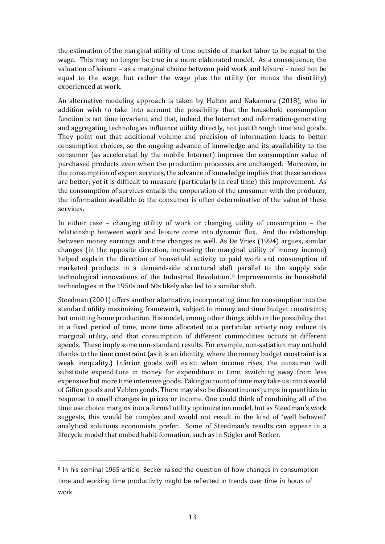the estimation of the marginal utility of time outside of market labor to be equal to the wage. This may no longer be true in a more elaborated model. As a consequence, the valuation of leisure – as a marginal choice between paid work and leisure – need not be equal to the wage, but rather the wage plus the utility (or minus the disutility) experienced at work.

An alternative modeling approach is taken by Hulten and Nakamura (2018), who in addition wish to take into account the possibility that the household consumption function is not time invariant, and that, indeed, the Internet and information-generating and aggregating technologies influence utility directly, not just through time and goods. They point out that additional volume and precision of information leads to better consumption choices, so the ongoing advance of knowledge and its availability to the consumer (as accelerated by the mobile Internet) improve the consumption value of purchased products even when the production processes are unchanged. Moreover, in the consumption of expert services, the advance of knowledge implies that these services are better; yet it is difficult to measure (particularly in real time) this improvement. As the consumption of services entails the cooperation of the consumer with the producer, the information available to the consumer is often determinative of the value of these services.

In either case – changing utility of work or changing utility of consumption – the relationship between work and leisure come into dynamic flux. And the relationship between money earnings and time changes as well. As De Vries (1994) argues, similar changes (in the opposite direction, increasing the marginal utility of money income) helped explain the direction of household activity to paid work and consumption of marketed products in a demand-side structural shif[t](#page-12-0) parallel to the supply side technological innovations of the Industrial Revolution. <sup>8</sup> Improvements in household technologies in the 1950s and 60s likely also led to a similar shift.

Steedman (2001) offers another alternative, incorporating time for consumption into the standard utility maximizing framework, subject to money and time budget constraints; but omitting home production. His model, among other things, adds in the possibility that in a fixed period of time, more time allocated to a particular activity may reduce its marginal utility, and that consumption of different commodities occurs at different speeds. These imply some non-standard results. For example, non-satiation may not hold thanks to the time constraint (as it is an identity, where the money budget constraint is a weak inequality.) Inferior goods will exist: when income rises, the consumer will substitute expenditure in money for expenditure in time, switching away from less expensive but more time intensive goods. Taking account of time may take us into a world of Giffen goods and Veblen goods. There may also be discontinuous jumps in quantities in response to small changes in prices or income. One could think of combining all of the time use choice margins into a formal utility optimization model, but as Steedman's work suggests, this would be complex and would not result in the kind of 'well behaved' analytical solutions economists prefer. Some of Steedman's results can appear in a lifecycle model that embed habit-formation, such as in Stigler and Becker.

<span id="page-12-0"></span><sup>&</sup>lt;sup>8</sup> In his seminal 1965 article, Becker raised the question of how changes in consumption time and working time productivity might be reflected in trends over time in hours of work.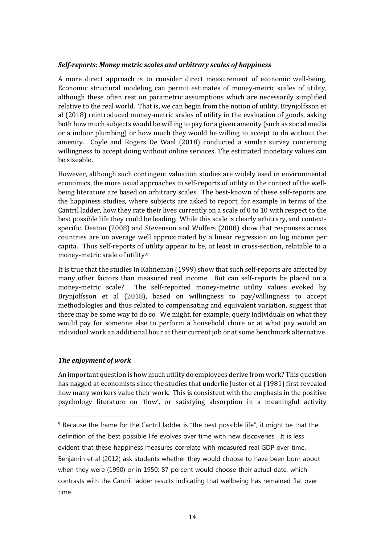### *Self-reports: Money metric scales and arbitrary scales of happiness*

A more direct approach is to consider direct measurement of economic well-being. Economic structural modeling can permit estimates of money-metric scales of utility, although these often rest on parametric assumptions which are necessarily simplified relative to the real world. That is, we can begin from the notion of utility. Brynjolfsson et al (2018) reintroduced money-metric scales of utility in the evaluation of goods, asking both how much subjects would be willing to pay for a given amenity (such as social media or a indoor plumbing) or how much they would be willing to accept to do without the amenity. Coyle and Rogers De Waal (2018) conducted a similar survey concerning willingness to accept doing without online services. The estimated monetary values can be sizeable.

However, although such contingent valuation studies are widely used in environmental economics, the more usual approaches to self-reports of utility in the context of the wellbeing literature are based on arbitrary scales. The best-known of these self-reports are the happiness studies, where subjects are asked to report, for example in terms of the Cantril ladder, how they rate their lives currently on a scale of 0 to 10 with respect to the best possible life they could be leading. While this scale is clearly arbitrary, and contextspecific. Deaton (2008) and Stevenson and Wolfers (2008) show that responses across countries are on average well approximated by a linear regression on log income per capita. Thus self-reports of utility appear to be, at least in cross-section, relatable to a money-metric scale of utility.[9](#page-13-0)

It is true that the studies in Kahneman (1999) show that such self-reports are affected by many other factors than measured real income. But can self-reports be placed on a money-metric scale? The self-reported money-metric utility values evoked by Brynjolfsson et al (2018), based on willingness to pay/willingness to accept methodologies and thus related to compensating and equivalent variation, suggest that there may be some way to do so. We might, for example, query individuals on what they would pay for someone else to perform a household chore or at what pay would an individual work an additional hour at their current job or at some benchmark alternative.

### *The enjoyment of work*

j

An important question is how much utility do employees derive from work? This question has nagged at economists since the studies that underlie Juster et al (1981) first revealed how many workers value their work. This is consistent with the emphasis in the positive psychology literature on 'flow', or satisfying absorption in a meaningful activity

<span id="page-13-0"></span><sup>&</sup>lt;sup>9</sup> Because the frame for the Cantril ladder is "the best possible life", it might be that the definition of the best possible life evolves over time with new discoveries. It is less evident that these happiness measures correlate with measured real GDP over time. Benjamin et al (2012) ask students whether they would choose to have been born about when they were (1990) or in 1950; 87 percent would choose their actual date, which contrasts with the Cantril ladder results indicating that wellbeing has remained flat over time.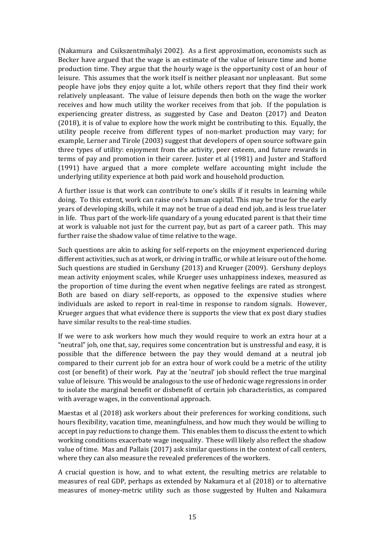(Nakamura and Csikszentmihalyi 2002). As a first approximation, economists such as Becker have argued that the wage is an estimate of the value of leisure time and home production time. They argue that the hourly wage is the opportunity cost of an hour of leisure. This assumes that the work itself is neither pleasant nor unpleasant. But some people have jobs they enjoy quite a lot, while others report that they find their work relatively unpleasant. The value of leisure depends then both on the wage the worker receives and how much utility the worker receives from that job. If the population is experiencing greater distress, as suggested by Case and Deaton (2017) and Deaton (2018), it is of value to explore how the work might be contributing to this. Equally, the utility people receive from different types of non-market production may vary; for example, Lerner and Tirole (2003) suggest that developers of open source software gain three types of utility: enjoyment from the activity, peer esteem, and future rewards in terms of pay and promotion in their career. Juster et al (1981) and Juster and Stafford (1991) have argued that a more complete welfare accounting might include the underlying utility experience at both paid work and household production.

A further issue is that work can contribute to one's skills if it results in learning while doing. To this extent, work can raise one's human capital. This may be true for the early years of developing skills, while it may not be true of a dead end job, and is less true later in life. Thus part of the work-life quandary of a young educated parent is that their time at work is valuable not just for the current pay, but as part of a career path. This may further raise the shadow value of time relative to the wage.

Such questions are akin to asking for self-reports on the enjoyment experienced during different activities, such as at work, or driving in traffic, or while at leisure out of the home. Such questions are studied in Gershuny (2013) and Krueger (2009). Gershuny deploys mean activity enjoyment scales, while Krueger uses unhappiness indexes, measured as the proportion of time during the event when negative feelings are rated as strongest. Both are based on diary self-reports, as opposed to the expensive studies where individuals are asked to report in real-time in response to random signals. However, Krueger argues that what evidence there is supports the view that ex post diary studies have similar results to the real-time studies.

If we were to ask workers how much they would require to work an extra hour at a "neutral" job, one that, say, requires some concentration but is unstressful and easy, it is possible that the difference between the pay they would demand at a neutral job compared to their current job for an extra hour of work could be a metric of the utility cost (or benefit) of their work. Pay at the 'neutral' job should reflect the true marginal value of leisure. This would be analogous to the use of hedonic wage regressions in order to isolate the marginal benefit or disbenefit of certain job characteristics, as compared with average wages, in the conventional approach.

Maestas et al (2018) ask workers about their preferences for working conditions, such hours flexibility, vacation time, meaningfulness, and how much they would be willing to accept in pay reductions to change them. This enables them to discuss the extent to which working conditions exacerbate wage inequality. These will likely also reflect the shadow value of time. Mas and Pallais (2017) ask similar questions in the context of call centers, where they can also measure the revealed preferences of the workers.

A crucial question is how, and to what extent, the resulting metrics are relatable to measures of real GDP, perhaps as extended by Nakamura et al (2018) or to alternative measures of money-metric utility such as those suggested by Hulten and Nakamura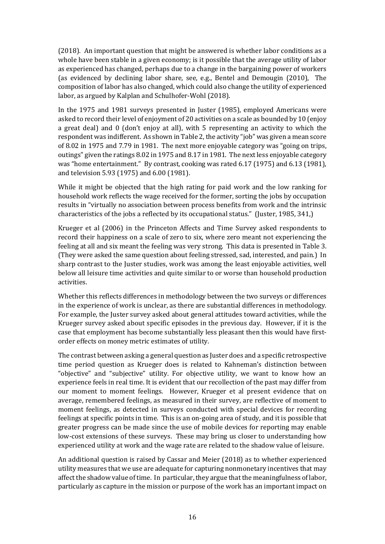(2018). An important question that might be answered is whether labor conditions as a whole have been stable in a given economy; is it possible that the average utility of labor as experienced has changed, perhaps due to a change in the bargaining power of workers (as evidenced by declining labor share, see, e.g., Bentel and Demougin (2010), The composition of labor has also changed, which could also change the utility of experienced labor, as argued by Kalplan and Schulhofer-Wohl (2018).

In the 1975 and 1981 surveys presented in Juster (1985), employed Americans were asked to record their level of enjoyment of 20 activities on a scale as bounded by 10 (enjoy a great deal) and 0 (don't enjoy at all), with 5 representing an activity to which the respondent was indifferent. As shown in Table 2, the activity "job" was given a mean score of 8.02 in 1975 and 7.79 in 1981. The next more enjoyable category was "going on trips, outings" given the ratings 8.02 in 1975 and 8.17 in 1981. The next less enjoyable category was "home entertainment." By contrast, cooking was rated 6.17 (1975) and 6.13 (1981), and television 5.93 (1975) and 6.00 (1981).

While it might be objected that the high rating for paid work and the low ranking for household work reflects the wage received for the former, sorting the jobs by occupation results in "virtually no association between process benefits from work and the intrinsic characteristics of the jobs a reflected by its occupational status." (Juster, 1985, 341,)

Krueger et al (2006) in the Princeton Affects and Time Survey asked respondents to record their happiness on a scale of zero to six, where zero meant not experiencing the feeling at all and six meant the feeling was very strong. This data is presented in Table 3. (They were asked the same question about feeling stressed, sad, interested, and pain.) In sharp contrast to the Juster studies, work was among the least enjoyable activities, well below all leisure time activities and quite similar to or worse than household production activities.

Whether this reflects differences in methodology between the two surveys or differences in the experience of work is unclear, as there are substantial differences in methodology. For example, the Juster survey asked about general attitudes toward activities, while the Krueger survey asked about specific episodes in the previous day. However, if it is the case that employment has become substantially less pleasant then this would have firstorder effects on money metric estimates of utility.

The contrast between asking a general question as Juster does and a specific retrospective time period question as Krueger does is related to Kahneman's distinction between "objective" and "subjective" utility. For objective utility, we want to know how an experience feels in real time. It is evident that our recollection of the past may differ from our moment to moment feelings. However, Krueger et al present evidence that on average, remembered feelings, as measured in their survey, are reflective of moment to moment feelings, as detected in surveys conducted with special devices for recording feelings at specific points in time. This is an on-going area of study, and it is possible that greater progress can be made since the use of mobile devices for reporting may enable low-cost extensions of these surveys. These may bring us closer to understanding how experienced utility at work and the wage rate are related to the shadow value of leisure.

An additional question is raised by Cassar and Meier (2018) as to whether experienced utility measures that we use are adequate for capturing nonmonetary incentives that may affect the shadow value of time. In particular, they argue that the meaningfulness of labor, particularly as capture in the mission or purpose of the work has an important impact on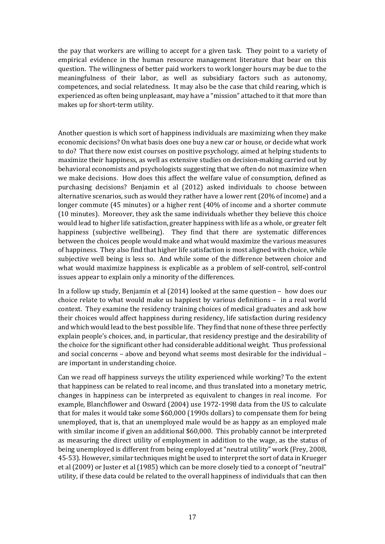the pay that workers are willing to accept for a given task. They point to a variety of empirical evidence in the human resource management literature that bear on this question. The willingness of better paid workers to work longer hours may be due to the meaningfulness of their labor, as well as subsidiary factors such as autonomy, competences, and social relatedness. It may also be the case that child rearing, which is experienced as often being unpleasant, may have a "mission" attached to it that more than makes up for short-term utility.

Another question is which sort of happiness individuals are maximizing when they make economic decisions? On what basis does one buy a new car or house, or decide what work to do? That there now exist courses on positive psychology, aimed at helping students to maximize their happiness, as well as extensive studies on decision-making carried out by behavioral economists and psychologists suggesting that we often do not maximize when we make decisions. How does this affect the welfare value of consumption, defined as purchasing decisions? Benjamin et al (2012) asked individuals to choose between alternative scenarios, such as would they rather have a lower rent (20% of income) and a longer commute (45 minutes) or a higher rent (40% of income and a shorter commute (10 minutes). Moreover, they ask the same individuals whether they believe this choice would lead to higher life satisfaction, greater happiness with life as a whole, or greater felt happiness (subjective wellbeing). They find that there are systematic differences between the choices people would make and what would maximize the various measures of happiness. They also find that higher life satisfaction is most aligned with choice, while subjective well being is less so. And while some of the difference between choice and what would maximize happiness is explicable as a problem of self-control, self-control issues appear to explain only a minority of the differences.

In a follow up study, Benjamin et al (2014) looked at the same question – how does our choice relate to what would make us happiest by various definitions – in a real world context. They examine the residency training choices of medical graduates and ask how their choices would affect happiness during residency, life satisfaction during residency and which would lead to the best possible life. They find that none of these three perfectly explain people's choices, and, in particular, that residency prestige and the desirability of the choice for the significant other had considerable additional weight. Thus professional and social concerns – above and beyond what seems most desirable for the individual – are important in understanding choice.

Can we read off happiness surveys the utility experienced while working? To the extent that happiness can be related to real income, and thus translated into a monetary metric, changes in happiness can be interpreted as equivalent to changes in real income. For example, Blanchflower and Osward (2004) use 1972-1998 data from the US to calculate that for males it would take some \$60,000 (1990s dollars) to compensate them for being unemployed, that is, that an unemployed male would be as happy as an employed male with similar income if given an additional \$60,000. This probably cannot be interpreted as measuring the direct utility of employment in addition to the wage, as the status of being unemployed is different from being employed at "neutral utility" work (Frey, 2008, 45-53). However, similar techniques might be used to interpret the sort of data in Krueger et al (2009) or Juster et al (1985) which can be more closely tied to a concept of "neutral" utility, if these data could be related to the overall happiness of individuals that can then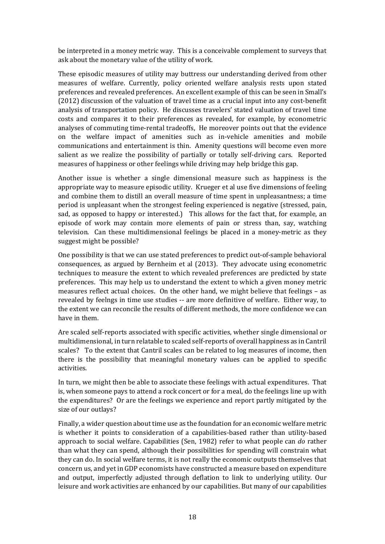be interpreted in a money metric way. This is a conceivable complement to surveys that ask about the monetary value of the utility of work.

These episodic measures of utility may buttress our understanding derived from other measures of welfare. Currently, policy oriented welfare analysis rests upon stated preferences and revealed preferences. An excellent example of this can be seen in Small's (2012) discussion of the valuation of travel time as a crucial input into any cost-benefit analysis of transportation policy. He discusses travelers' stated valuation of travel time costs and compares it to their preferences as revealed, for example, by econometric analyses of commuting time-rental tradeoffs, He moreover points out that the evidence on the welfare impact of amenities such as in-vehicle amenities and mobile communications and entertainment is thin. Amenity questions will become even more salient as we realize the possibility of partially or totally self-driving cars. Reported measures of happiness or other feelings while driving may help bridge this gap.

Another issue is whether a single dimensional measure such as happiness is the appropriate way to measure episodic utility. Krueger et al use five dimensions of feeling and combine them to distill an overall measure of time spent in unpleasantness; a time period is unpleasant when the strongest feeling experienced is negative (stressed, pain, sad, as opposed to happy or interested.) This allows for the fact that, for example, an episode of work may contain more elements of pain or stress than, say, watching television. Can these multidimensional feelings be placed in a money-metric as they suggest might be possible?

One possibility is that we can use stated preferences to predict out-of-sample behavioral consequences, as argued by Bernheim et al (2013). They advocate using econometric techniques to measure the extent to which revealed preferences are predicted by state preferences. This may help us to understand the extent to which a given money metric measures reflect actual choices. On the other hand, we might believe that feelings – as revealed by feelngs in time use studies -- are more definitive of welfare. Either way, to the extent we can reconcile the results of different methods, the more confidence we can have in them.

Are scaled self-reports associated with specific activities, whether single dimensional or multidimensional, in turn relatable to scaled self-reports of overall happiness as in Cantril scales? To the extent that Cantril scales can be related to log measures of income, then there is the possibility that meaningful monetary values can be applied to specific activities.

In turn, we might then be able to associate these feelings with actual expenditures. That is, when someone pays to attend a rock concert or for a meal, do the feelings line up with the expenditures? Or are the feelings we experience and report partly mitigated by the size of our outlays?

Finally, a wider question about time use as the foundation for an economic welfare metric is whether it points to consideration of a capabilities-based rather than utility-based approach to social welfare. Capabilities (Sen, 1982) refer to what people can *do* rather than what they can spend, although their possibilities for spending will constrain what they can do. In social welfare terms, it is not really the economic outputs themselves that concern us, and yet in GDP economists have constructed a measure based on expenditure and output, imperfectly adjusted through deflation to link to underlying utility. Our leisure and work activities are enhanced by our capabilities. But many of our capabilities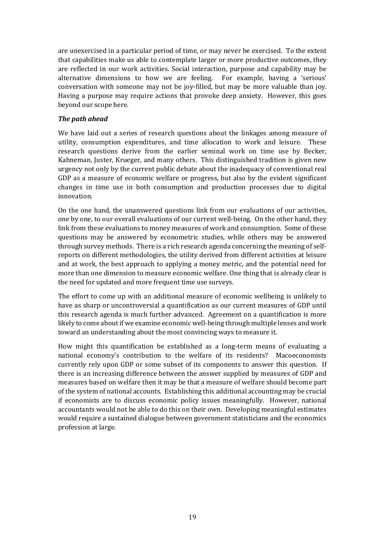are unexercised in a particular period of time, or may never be exercised. To the extent that capabilities make us able to contemplate larger or more productive outcomes, they are reflected in our work activities. Social interaction, purpose and capability may be alternative dimensions to how we are feeling. For example, having a 'serious' conversation with someone may not be joy-filled, but may be more valuable than joy. Having a purpose may require actions that provoke deep anxiety. However, this goes beyond our scope here.

### *The path ahead*

We have laid out a series of research questions about the linkages among measure of utility, consumption expenditures, and time allocation to work and leisure. These research questions derive from the earlier seminal work on time use by Becker, Kahneman, Juster, Krueger, and many others. This distinguished tradition is given new urgency not only by the current public debate about the inadequacy of conventional real GDP as a measure of economic welfare or progress, but also by the evident significant changes in time use in both consumption and production processes due to digital innovation.

On the one hand, the unanswered questions link from our evaluations of our activities, one by one, to our overall evaluations of our current well-being. On the other hand, they link from these evaluations to money measures of work and consumption. Some of these questions may be answered by econometric studies, while others may be answered through survey methods. There is a rich research agenda concerning the meaning of selfreports on different methodologies, the utility derived from different activities at leisure and at work, the best approach to applying a money metric, and the potential need for more than one dimension to measure economic welfare. One thing that is already clear is the need for updated and more frequent time use surveys.

The effort to come up with an additional measure of economic wellbeing is unlikely to have as sharp or uncontroversial a quantification as our current measures of GDP until this research agenda is much further advanced. Agreement on a quantification is more likely to come about if we examine economic well-being through multiple lenses and work toward an understanding about the most convincing ways to measure it.

How might this quantification be established as a long-term means of evaluating a national economy's contribution to the welfare of its residents? Macoeconomists currently rely upon GDP or some subset of its components to answer this question. If there is an increasing difference between the answer supplied by measures of GDP and measures based on welfare then it may be that a measure of welfare should become part of the system of national accounts. Establishing this additional accounting may be crucial if economists are to discuss economic policy issues meaningfully. However, national accountants would not be able to do this on their own. Developing meaningful estimates would require a sustained dialogue between government statisticians and the economics profession at large.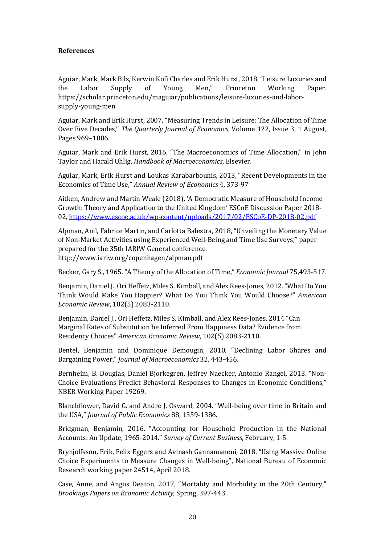### **References**

Aguiar, Mark, Mark Bils, Kerwin Kofi Charles and Erik Hurst, 2018, "Leisure Luxuries and the Labor Supply of Young Men," Princeton Working Paper. the Labor Supply of Young Men," Princeton Working Paper. https://scholar.princeton.edu/maguiar/publications/leisure-luxuries-and-laborsupply-young-men

Aguiar, Mark and Erik Hurst, 2007. "Measuring Trends in Leisure: The Allocation of Time Over Five Decades," *The Quarterly Journal of Economics*, Volume 122, Issue 3, 1 August, Pages 969–1006.

Aguiar, Mark and Erik Hurst, 2016, "The Macroeconomics of Time Allocation," in John Taylor and Harald Uhlig, *Handbook of Macroeconomics*, Elsevier.

Aguiar, Mark, Erik Hurst and Loukas Karabarbounis, 2013, "Recent Developments in the Economics of Time Use," *Annual Review of Economics* 4, 373-97

Aitken, Andrew and Martin Weale (2018), 'A Democratic Measure of Household Income Growth: Theory and Application to the United Kingdom' ESCoE Discussion Paper 2018- 02[, https://www.escoe.ac.uk/wp-content/uploads/2017/02/ESCoE-DP-2018-02.pdf](https://www.escoe.ac.uk/wp-content/uploads/2017/02/ESCoE-DP-2018-02.pdf)

Alpman, Anil, Fabrice Martin, and Carlotta Balestra, 2018, "Unveiling the Monetary Value of Non-Market Activities using Experienced Well-Being and Time Use Surveys," paper prepared for the 35th IARIW General conference. http://www.iariw.org/copenhagen/alpman.pdf

Becker, Gary S., 1965. "A Theory of the Allocation of Time," *Economic Journal* 75,493-517.

Benjamin, Daniel J., Ori Heffetz, Miles S. Kimball, and Alex Rees-Jones, 2012. "What Do You Think Would Make You Happier? What Do You Think You Would Choose?" *American Economic Review*, 102(5) 2083-2110.

Benjamin, Daniel J., Ori Heffetz, Miles S. Kimball, and Alex Rees-Jones, 2014 "Can Marginal Rates of Substitution be Inferred From Happiness Data? Evidence from Residency Choices" *American Economic Review*, 102(5) 2083-2110.

Bentel, Benjamin and Dominique Demougin, 2010, "Declining Labor Shares and Bargaining Power," *Journal of Macroeconomics* 32, 443-456.

Bernheim, B. Douglas, Daniel Bjorkegren, Jeffrey Naecker, Antonio Rangel, 2013. "Non-Choice Evaluations Predict Behavioral Responses to Changes in Economic Conditions," NBER Working Paper 19269.

Blanchflower, David G. and Andre J. Osward, 2004. "Well-being over time in Britain and the USA," *Journal of Public Economics* 88, 1359-1386.

Bridgman, Benjamin, 2016. "Accounting for Household Production in the National Accounts: An Update, 1965-2014." *Survey of Current Business*, February, 1-5.

Brynjolfsson, Erik, Felix Eggers and Avinash Gannamaneni, 2018. "Using Massive Online Choice Experiments to Measure Changes in Well-being", National Bureau of Economic Research working paper 24514, April 2018.

Case, Anne, and Angus Deaton, 2017, "Mortality and Morbidity in the 20th Century," *Brookings Papers on Economic Activity,* Spring, 397-443.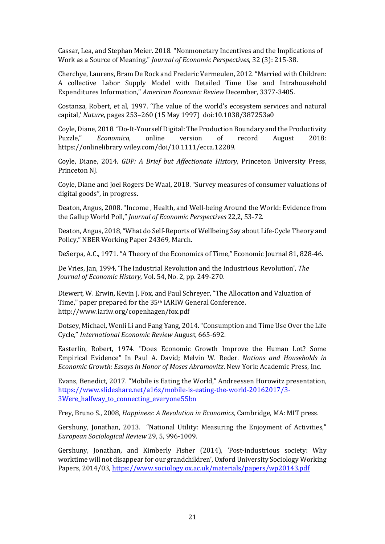Cassar, Lea, and Stephan Meier. 2018. "Nonmonetary Incentives and the Implications of Work as a Source of Meaning." *Journal of Economic Perspectives*, 32 (3): 215-38.

Cherchye, Laurens, Bram De Rock and Frederic Vermeulen, 2012. "Married with Children: A collective Labor Supply Model with Detailed Time Use and Intrahousehold Expenditures Information," *American Economic Review* December, 3377-3405.

Costanza, Robert, et al, 1997. 'The value of the world's ecosystem services and natural capital,' *Nature*, pages 253–260 (15 May 1997) doi:10.1038/387253a0

Coyle, Diane, 2018. "Do-It-Yourself Digital: The Production Boundary and the Productivity<br>Puzzle," Economica, online version of record August 2018: Puzzle," *Economica*, online version of record August 2018: https://onlinelibrary.wiley.com/doi/10.1111/ecca.12289.

Coyle, Diane, 2014. *GDP: A Brief but Affectionate History*, Princeton University Press, Princeton NJ.

Coyle, Diane and Joel Rogers De Waal, 2018. "Survey measures of consumer valuations of digital goods", in progress.

Deaton, Angus, 2008. "Income , Health, and Well-being Around the World: Evidence from the Gallup World Poll," *Journal of Economic Perspectives* 22,2, 53-72.

Deaton, Angus, 2018, "What do Self-Reports of Wellbeing Say about Life-Cycle Theory and Policy," NBER Working Paper 24369, March.

DeSerpa, A.C., 1971. "A Theory of the Economics of Time," Economic Journal 81, 828-46.

De Vries, Jan, 1994, 'The Industrial Revolution and the Industrious Revolution', *The Journal of Economic History*, Vol. 54, No. 2, pp. 249-270.

Diewert, W. Erwin, Kevin J. Fox, and Paul Schreyer, "The Allocation and Valuation of Time," paper prepared for the 35th IARIW General Conference. http://www.iariw.org/copenhagen/fox.pdf

Dotsey, Michael, Wenli Li and Fang Yang, 2014. "Consumption and Time Use Over the Life Cycle," *International Economic Review* August, 665-692.

Easterlin, Robert, 1974. ["Does Economic Growth Improve the Human Lot? Some](http://graphics8.nytimes.com/images/2008/04/16/business/Easterlin1974.pdf)  [Empirical Evidence"](http://graphics8.nytimes.com/images/2008/04/16/business/Easterlin1974.pdf) In Paul A. David; Melvin W. Reder. *Nations and Households in Economic Growth: Essays in Honor of Moses Abramovitz*. New York: Academic Press, Inc.

Evans, Benedict, 2017. "Mobile is Eating the World," Andreessen Horowitz presentation, [https://www.slideshare.net/a16z/mobile-is-eating-the-world-20162017/3-](https://www.slideshare.net/a16z/mobile-is-eating-the-world-20162017/3-3Were_halfway_to_connecting_everyone55bn) [3Were\\_halfway\\_to\\_connecting\\_everyone55bn](https://www.slideshare.net/a16z/mobile-is-eating-the-world-20162017/3-3Were_halfway_to_connecting_everyone55bn)

Frey, Bruno S., 2008, *Happiness: A Revolution in Economics*, Cambridge, MA: MIT press.

Gershuny, Jonathan, 2013. "National Utility: Measuring the Enjoyment of Activities," *European Sociological Review* 29, 5, 996-1009.

Gershuny, Jonathan, and Kimberly Fisher (2014), 'Post-industrious society: Why worktime will not disappear for our grandchildren', Oxford University Sociology Working Papers, 2014/03[, https://www.sociology.ox.ac.uk/materials/papers/wp20143.pdf](https://www.sociology.ox.ac.uk/materials/papers/wp20143.pdf)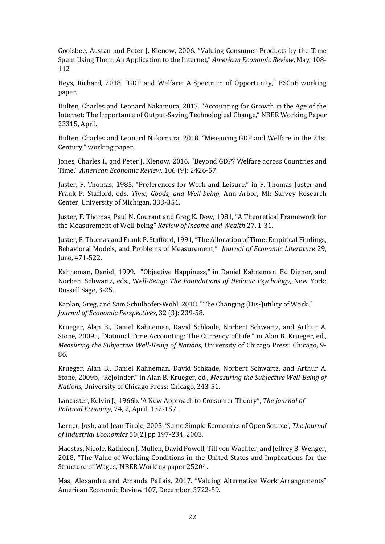Goolsbee, Austan and Peter J. Klenow, 2006. "Valuing Consumer Products by the Time Spent Using Them: An Application to the Internet," *American Economic Review*, May, 108- 112

Heys, Richard, 2018. "GDP and Welfare: A Spectrum of Opportunity," ESCoE working paper.

Hulten, Charles and Leonard Nakamura, 2017. "Accounting for Growth in the Age of the Internet: The Importance of Output-Saving Technological Change," NBER Working Paper 23315, April.

Hulten, Charles and Leonard Nakamura, 2018. "Measuring GDP and Welfare in the 21st Century," working paper.

Jones, Charles I., and Peter J. Klenow. 2016. "Beyond GDP? Welfare across Countries and Time." *American Economic Review,* 106 (9): 2426-57.

Juster, F. Thomas, 1985. "Preferences for Work and Leisure," in F. Thomas Juster and Frank P. Stafford, eds. *Time, Goods, and Well-being*, Ann Arbor, MI: Survey Research Center, University of Michigan, 333-351.

Juster, F. Thomas, Paul N. Courant and Greg K. Dow, 1981, "A Theoretical Framework for the Measurement of Well-being" *Review of Income and Wealth* 27, 1-31.

Juster, F. Thomas and Frank P. Stafford, 1991, "The Allocation of Time: Empirical Findings, Behavioral Models, and Problems of Measurement," *Journal of Economic Literature* 29, June, 471-522.

Kahneman, Daniel, 1999. "Objective Happiness," in Daniel Kahneman, Ed Diener, and Norbert Schwartz, eds., W*ell-Being: The Foundations of Hedonic Psychology,* New York: Russell Sage, 3-25.

Kaplan, Greg, and Sam Schulhofer-Wohl. 2018. "The Changing (Dis-)utility of Work." *Journal of Economic Perspectives*, 32 (3): 239-58.

Krueger, Alan B., Daniel Kahneman, David Schkade, Norbert Schwartz, and Arthur A. Stone, 2009a, "National Time Accounting: The Currency of Life," in Alan B. Krueger, ed., *Measuring the Subjective Well-Being of Nations*, University of Chicago Press: Chicago, 9- 86.

Krueger, Alan B., Daniel Kahneman, David Schkade, Norbert Schwartz, and Arthur A. Stone, 2009b, "Rejoinder," in Alan B. Krueger, ed., *Measuring the Subjective Well-Being of Nations,* University of Chicago Press: Chicago, 243-51.

Lancaster, Kelvin J., 1966b."A New Approach to Consumer Theory", *The Journal of Political Economy*, 74, 2, April, 132-157.

Lerner, Josh, and Jean Tirole, 2003. 'Some Simple Economics of Open Source', *The Journal of Industrial Economics* 50(2),pp 197-234, 2003.

Maestas, Nicole, Kathleen J. Mullen, David Powell, Till von Wachter, and Jeffrey B. Wenger, 2018, "The Value of Working Conditions in the United States and Implications for the Structure of Wages,"NBER Working paper 25204.

Mas, Alexandre and Amanda Pallais, 2017. "Valuing Alternative Work Arrangements" American Economic Review 107, December, 3722-59.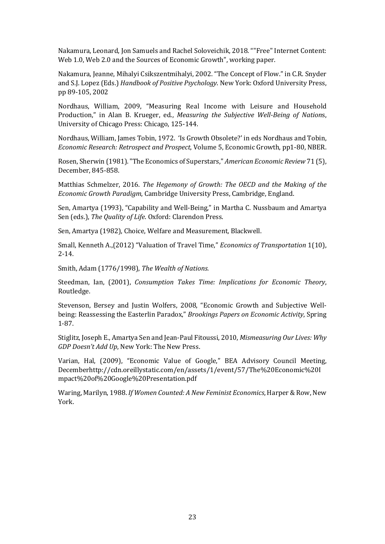Nakamura, Leonard, Jon Samuels and Rachel Soloveichik, 2018. ""Free" Internet Content: Web 1.0, Web 2.0 and the Sources of Economic Growth", working paper.

Nakamura, Jeanne, Mihalyi Csikszentmihalyi, 2002. "The Concept of Flow." in C.R. Snyder and S.J. Lopez (Eds.) *Handbook of Positive Psychology*. New York: Oxford University Press, pp 89-105, 2002

Nordhaus, William, 2009, "Measuring Real Income with Leisure and Household Production," in Alan B. Krueger, ed., *Measuring the Subjective Well-Being of Nation*s, University of Chicago Press: Chicago, 125-144.

Nordhaus, William, James Tobin, 1972. 'Is Growth Obsolete?' in eds Nordhaus and Tobin, *Economic Research: Retrospect and Prospect*, Volume 5, Economic Growth, pp1-80, NBER.

Rosen, Sherwin (1981). "The Economics of Superstars," *American Economic Review* 71 (5), December, 845-858.

Matthias Schmelzer, 2016. *The Hegemony of Growth: The OECD and the Making of the Economic Growth Paradigm*, Cambridge University Press, Cambridge, England.

Sen, Amartya (1993), "Capability and Well-Being," in Martha C. Nussbaum and Amartya Sen (eds.), *The Quality of Life*. Oxford: Clarendon Press.

Sen, Amartya (1982), Choice, Welfare and Measurement, Blackwell.

Small, Kenneth A.,(2012) "Valuation of Travel Time," *Economics of Transportation* 1(10), 2-14.

Smith, Adam (1776/1998), *The Wealth of Nations.*

Steedman, Ian, (2001), *Consumption Takes Time: Implications for Economic Theory*, Routledge.

Stevenson, Bersey and Justin Wolfers, 2008, "Economic Growth and Subjective Wellbeing: Reassessing the Easterlin Paradox," *Brookings Papers on Economic Activity*, Spring 1-87.

Stiglitz, Joseph E., Amartya Sen and Jean-Paul Fitoussi, 2010, *Mismeasuring Our Lives: Why GDP Doesn't Add Up*, New York: The New Press.

Varian, Hal, (2009), "Economic Value of Google," BEA Advisory Council Meeting, Decembe[rhttp://cdn.oreillystatic.com/en/assets/1/event/57/The%20Economic%20I](http://cdn.oreillystatic.com/en/assets/1/event/57/The%20Economic%20Impact%20of%20Google%20Presentation.pdf) [mpact%20of%20Google%20Presentation.pdf](http://cdn.oreillystatic.com/en/assets/1/event/57/The%20Economic%20Impact%20of%20Google%20Presentation.pdf)

Waring, Marilyn, 1988. *[If Women Counted: A New Feminist Economics](https://en.wikipedia.org/wiki/If_Women_Counted)*, Harper & Row, New York.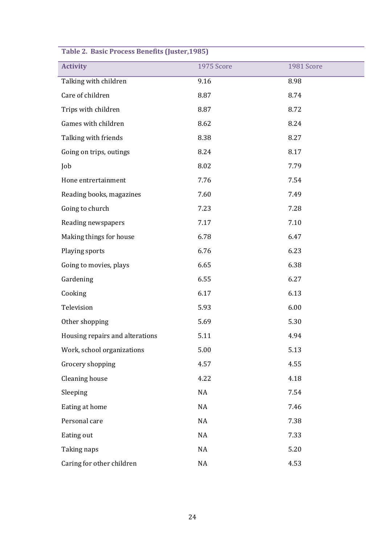| Table 2. Dasit Flutess beliefits (Juster, 1905) |            |            |  |  |  |
|-------------------------------------------------|------------|------------|--|--|--|
| <b>Activity</b>                                 | 1975 Score | 1981 Score |  |  |  |
| Talking with children                           | 9.16       | 8.98       |  |  |  |
| Care of children                                | 8.87       | 8.74       |  |  |  |
| Trips with children                             | 8.87       | 8.72       |  |  |  |
| Games with children                             | 8.62       | 8.24       |  |  |  |
| Talking with friends                            | 8.38       | 8.27       |  |  |  |
| Going on trips, outings                         | 8.24       | 8.17       |  |  |  |
| Job                                             | 8.02       | 7.79       |  |  |  |
| Hone entrertainment                             | 7.76       | 7.54       |  |  |  |
| Reading books, magazines                        | 7.60       | 7.49       |  |  |  |
| Going to church                                 | 7.23       | 7.28       |  |  |  |
| Reading newspapers                              | 7.17       | 7.10       |  |  |  |
| Making things for house                         | 6.78       | 6.47       |  |  |  |
| Playing sports                                  | 6.76       | 6.23       |  |  |  |
| Going to movies, plays                          | 6.65       | 6.38       |  |  |  |
| Gardening                                       | 6.55       | 6.27       |  |  |  |
| Cooking                                         | 6.17       | 6.13       |  |  |  |
| Television                                      | 5.93       | 6.00       |  |  |  |
| Other shopping                                  | 5.69       | 5.30       |  |  |  |
| Housing repairs and alterations                 | 5.11       | 4.94       |  |  |  |
| Work, school organizations                      | 5.00       | 5.13       |  |  |  |
| Grocery shopping                                | 4.57       | 4.55       |  |  |  |
| Cleaning house                                  | 4.22       | 4.18       |  |  |  |
| Sleeping                                        | NA         | 7.54       |  |  |  |
| Eating at home                                  | NA         | 7.46       |  |  |  |
| Personal care                                   | NA         | 7.38       |  |  |  |
| Eating out                                      | NA         | 7.33       |  |  |  |
| Taking naps                                     | NA         | 5.20       |  |  |  |
| Caring for other children                       | NA         | 4.53       |  |  |  |

# **Table 2. Basic Process Benefits (Juster,1985)**